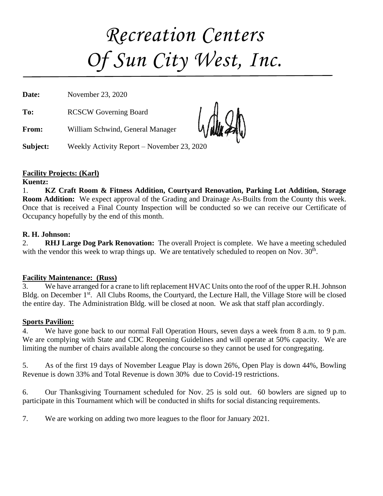# *Recreation Centers Of Sun City West, Inc.*

**Date:** November 23, 2020

**To:** RCSCW Governing Board

**From:** William Schwind, General Manager

**Subject:** Weekly Activity Report – November 23, 2020

#### **Facility Projects: (Karl)**

**Kuentz:**

1. **KZ Craft Room & Fitness Addition, Courtyard Renovation, Parking Lot Addition, Storage Room Addition:** We expect approval of the Grading and Drainage As-Builts from the County this week. Once that is received a Final County Inspection will be conducted so we can receive our Certificate of Occupancy hopefully by the end of this month.

#### **R. H. Johnson:**

2. **RHJ Large Dog Park Renovation:** The overall Project is complete. We have a meeting scheduled with the vendor this week to wrap things up. We are tentatively scheduled to reopen on Nov.  $30<sup>th</sup>$ .

#### **Facility Maintenance: (Russ)**

3. We have arranged for a crane to lift replacement HVAC Units onto the roof of the upper R.H. Johnson Bldg. on December 1<sup>st</sup>. All Clubs Rooms, the Courtyard, the Lecture Hall, the Village Store will be closed the entire day. The Administration Bldg. will be closed at noon. We ask that staff plan accordingly.

#### **Sports Pavilion:**

4. We have gone back to our normal Fall Operation Hours, seven days a week from 8 a.m. to 9 p.m. We are complying with State and CDC Reopening Guidelines and will operate at 50% capacity. We are limiting the number of chairs available along the concourse so they cannot be used for congregating.

5. As of the first 19 days of November League Play is down 26%, Open Play is down 44%, Bowling Revenue is down 33% and Total Revenue is down 30% due to Covid-19 restrictions.

6. Our Thanksgiving Tournament scheduled for Nov. 25 is sold out. 60 bowlers are signed up to participate in this Tournament which will be conducted in shifts for social distancing requirements.

7. We are working on adding two more leagues to the floor for January 2021.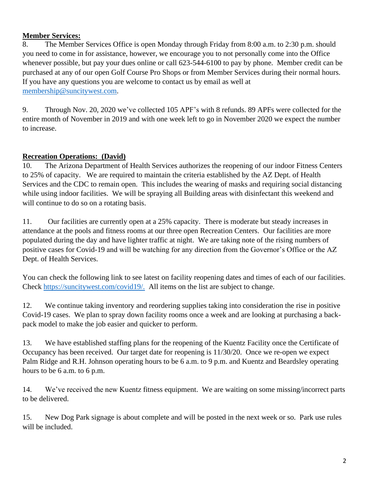#### **Member Services:**

8. The Member Services Office is open Monday through Friday from 8:00 a.m. to 2:30 p.m. should you need to come in for assistance, however, we encourage you to not personally come into the Office whenever possible, but pay your dues online or call 623-544-6100 to pay by phone. Member credit can be purchased at any of our open Golf Course Pro Shops or from Member Services during their normal hours. If you have any questions you are welcome to contact us by email as well at [membership@suncitywest.com.](mailto:membership@suncitywest.com)

9. Through Nov. 20, 2020 we've collected 105 APF's with 8 refunds. 89 APFs were collected for the entire month of November in 2019 and with one week left to go in November 2020 we expect the number to increase.

#### **Recreation Operations: (David)**

10. The Arizona Department of Health Services authorizes the reopening of our indoor Fitness Centers to 25% of capacity. We are required to maintain the criteria established by the AZ Dept. of Health Services and the CDC to remain open. This includes the wearing of masks and requiring social distancing while using indoor facilities. We will be spraying all Building areas with disinfectant this weekend and will continue to do so on a rotating basis.

11. Our facilities are currently open at a 25% capacity. There is moderate but steady increases in attendance at the pools and fitness rooms at our three open Recreation Centers. Our facilities are more populated during the day and have lighter traffic at night. We are taking note of the rising numbers of positive cases for Covid-19 and will be watching for any direction from the Governor's Office or the AZ Dept. of Health Services.

You can check the following link to see latest on facility reopening dates and times of each of our facilities. Check [https://suncitywest.com/covid19/.](https://suncitywest.com/covid19/) All items on the list are subject to change.

12. We continue taking inventory and reordering supplies taking into consideration the rise in positive Covid-19 cases. We plan to spray down facility rooms once a week and are looking at purchasing a backpack model to make the job easier and quicker to perform.

13. We have established staffing plans for the reopening of the Kuentz Facility once the Certificate of Occupancy has been received. Our target date for reopening is 11/30/20. Once we re-open we expect Palm Ridge and R.H. Johnson operating hours to be 6 a.m. to 9 p.m. and Kuentz and Beardsley operating hours to be 6 a.m. to 6 p.m.

14. We've received the new Kuentz fitness equipment. We are waiting on some missing/incorrect parts to be delivered.

15. New Dog Park signage is about complete and will be posted in the next week or so. Park use rules will be included.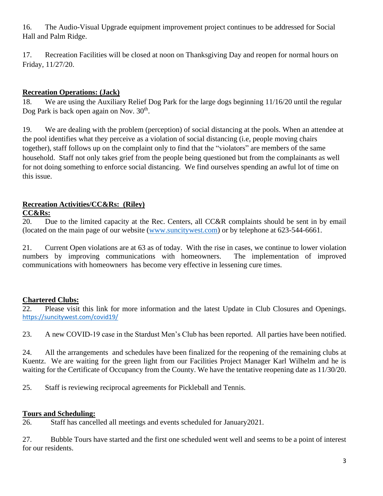16. The Audio-Visual Upgrade equipment improvement project continues to be addressed for Social Hall and Palm Ridge.

17. Recreation Facilities will be closed at noon on Thanksgiving Day and reopen for normal hours on Friday, 11/27/20.

#### **Recreation Operations: (Jack)**

18. We are using the Auxiliary Relief Dog Park for the large dogs beginning 11/16/20 until the regular Dog Park is back open again on Nov. 30<sup>th</sup>.

19. We are dealing with the problem (perception) of social distancing at the pools. When an attendee at the pool identifies what they perceive as a violation of social distancing (i.e, people moving chairs together), staff follows up on the complaint only to find that the "violators" are members of the same household. Staff not only takes grief from the people being questioned but from the complainants as well for not doing something to enforce social distancing. We find ourselves spending an awful lot of time on this issue.

#### **Recreation Activities/CC&Rs: (Riley)**

#### **CC&Rs:**

20. Due to the limited capacity at the Rec. Centers, all CC&R complaints should be sent in by email (located on the main page of our website [\(www.suncitywest.com\)](http://www.suncitywest.com/) or by telephone at 623-544-6661.

21. Current Open violations are at 63 as of today. With the rise in cases, we continue to lower violation numbers by improving communications with homeowners. The implementation of improved communications with homeowners has become very effective in lessening cure times.

#### **Chartered Clubs:**

22. Please visit this link for more information and the latest Update in Club Closures and Openings. <https://suncitywest.com/covid19/>

23. A new COVID-19 case in the Stardust Men's Club has been reported. All parties have been notified.

24. All the arrangements and schedules have been finalized for the reopening of the remaining clubs at Kuentz. We are waiting for the green light from our Facilities Project Manager Karl Wilhelm and he is waiting for the Certificate of Occupancy from the County. We have the tentative reopening date as 11/30/20.

25. Staff is reviewing reciprocal agreements for Pickleball and Tennis.

#### **Tours and Scheduling:**

26. Staff has cancelled all meetings and events scheduled for January2021.

27. Bubble Tours have started and the first one scheduled went well and seems to be a point of interest for our residents.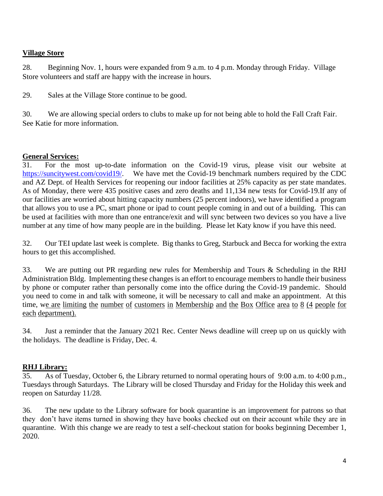#### **Village Store**

28. Beginning Nov. 1, hours were expanded from 9 a.m. to 4 p.m. Monday through Friday. Village Store volunteers and staff are happy with the increase in hours.

29. Sales at the Village Store continue to be good.

30. We are allowing special orders to clubs to make up for not being able to hold the Fall Craft Fair. See Katie for more information.

#### **General Services:**

31. For the most up-to-date information on the Covid-19 virus, please visit our website at [https://suncitywest.com/covid19/.](https://suncitywest.com/covid19/) We have met the Covid-19 benchmark numbers required by the CDC and AZ Dept. of Health Services for reopening our indoor facilities at 25% capacity as per state mandates. As of Monday, there were 435 positive cases and zero deaths and 11,134 new tests for Covid-19.If any of our facilities are worried about hitting capacity numbers (25 percent indoors), we have identified a program that allows you to use a PC, smart phone or ipad to count people coming in and out of a building. This can be used at facilities with more than one entrance/exit and will sync between two devices so you have a live number at any time of how many people are in the building. Please let Katy know if you have this need.

32. Our TEI update last week is complete. Big thanks to Greg, Starbuck and Becca for working the extra hours to get this accomplished.

33. We are putting out PR regarding new rules for Membership and Tours & Scheduling in the RHJ Administration Bldg. Implementing these changes is an effort to encourage members to handle their business by phone or computer rather than personally come into the office during the Covid-19 pandemic. Should you need to come in and talk with someone, it will be necessary to call and make an appointment. At this time, we are limiting the number of customers in Membership and the Box Office area to 8 (4 people for each department).

34. Just a reminder that the January 2021 Rec. Center News deadline will creep up on us quickly with the holidays. The deadline is Friday, Dec. 4.

#### **RHJ Library:**

35. As of Tuesday, October 6, the Library returned to normal operating hours of 9:00 a.m. to 4:00 p.m., Tuesdays through Saturdays. The Library will be closed Thursday and Friday for the Holiday this week and reopen on Saturday 11/28.

36. The new update to the Library software for book quarantine is an improvement for patrons so that they don't have items turned in showing they have books checked out on their account while they are in quarantine. With this change we are ready to test a self-checkout station for books beginning December 1, 2020.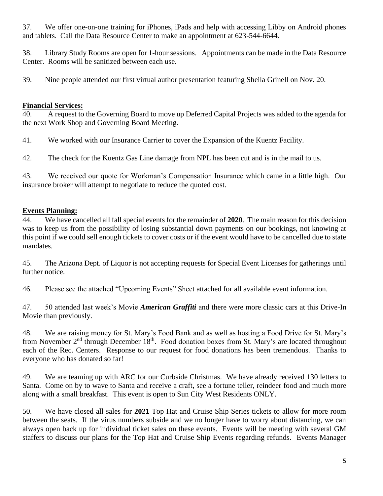37. We offer one-on-one training for iPhones, iPads and help with accessing Libby on Android phones and tablets. Call the Data Resource Center to make an appointment at 623-544-6644.

38. Library Study Rooms are open for 1-hour sessions. Appointments can be made in the Data Resource Center. Rooms will be sanitized between each use.

39. Nine people attended our first virtual author presentation featuring Sheila Grinell on Nov. 20.

#### **Financial Services:**

40. A request to the Governing Board to move up Deferred Capital Projects was added to the agenda for the next Work Shop and Governing Board Meeting.

41. We worked with our Insurance Carrier to cover the Expansion of the Kuentz Facility.

42. The check for the Kuentz Gas Line damage from NPL has been cut and is in the mail to us.

43. We received our quote for Workman's Compensation Insurance which came in a little high. Our insurance broker will attempt to negotiate to reduce the quoted cost.

#### **Events Planning:**

44. We have cancelled all fall special events for the remainder of **2020**. The main reason for this decision was to keep us from the possibility of losing substantial down payments on our bookings, not knowing at this point if we could sell enough tickets to cover costs or if the event would have to be cancelled due to state mandates.

45. The Arizona Dept. of Liquor is not accepting requests for Special Event Licenses for gatherings until further notice.

46. Please see the attached "Upcoming Events" Sheet attached for all available event information.

47. 50 attended last week's Movie *American Graffiti* and there were more classic cars at this Drive-In Movie than previously.

48. We are raising money for St. Mary's Food Bank and as well as hosting a Food Drive for St. Mary's from November 2<sup>nd</sup> through December 18<sup>th</sup>. Food donation boxes from St. Mary's are located throughout each of the Rec. Centers. Response to our request for food donations has been tremendous. Thanks to everyone who has donated so far!

49. We are teaming up with ARC for our Curbside Christmas. We have already received 130 letters to Santa. Come on by to wave to Santa and receive a craft, see a fortune teller, reindeer food and much more along with a small breakfast. This event is open to Sun City West Residents ONLY.

50. We have closed all sales for **2021** Top Hat and Cruise Ship Series tickets to allow for more room between the seats. If the virus numbers subside and we no longer have to worry about distancing, we can always open back up for individual ticket sales on these events. Events will be meeting with several GM staffers to discuss our plans for the Top Hat and Cruise Ship Events regarding refunds. Events Manager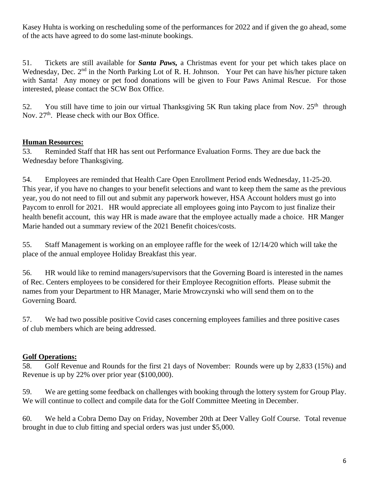Kasey Huhta is working on rescheduling some of the performances for 2022 and if given the go ahead, some of the acts have agreed to do some last-minute bookings.

51. Tickets are still available for *Santa Paws,* a Christmas event for your pet which takes place on Wednesday, Dec. 2<sup>nd</sup> in the North Parking Lot of R. H. Johnson. Your Pet can have his/her picture taken with Santa! Any money or pet food donations will be given to Four Paws Animal Rescue. For those interested, please contact the SCW Box Office.

52. You still have time to join our virtual Thanksgiving 5K Run taking place from Nov.  $25<sup>th</sup>$  through Nov. 27<sup>th</sup>. Please check with our Box Office.

#### **Human Resources:**

53. Reminded Staff that HR has sent out Performance Evaluation Forms. They are due back the Wednesday before Thanksgiving.

54. Employees are reminded that Health Care Open Enrollment Period ends Wednesday, 11-25-20. This year, if you have no changes to your benefit selections and want to keep them the same as the previous year, you do not need to fill out and submit any paperwork however, HSA Account holders must go into Paycom to enroll for 2021. HR would appreciate all employees going into Paycom to just finalize their health benefit account, this way HR is made aware that the employee actually made a choice. HR Manger Marie handed out a summary review of the 2021 Benefit choices/costs.

55. Staff Management is working on an employee raffle for the week of 12/14/20 which will take the place of the annual employee Holiday Breakfast this year.

56. HR would like to remind managers/supervisors that the Governing Board is interested in the names of Rec. Centers employees to be considered for their Employee Recognition efforts. Please submit the names from your Department to HR Manager, Marie Mrowczynski who will send them on to the Governing Board.

57. We had two possible positive Covid cases concerning employees families and three positive cases of club members which are being addressed.

#### **Golf Operations:**

58. Golf Revenue and Rounds for the first 21 days of November: Rounds were up by 2,833 (15%) and Revenue is up by 22% over prior year (\$100,000).

59. We are getting some feedback on challenges with booking through the lottery system for Group Play. We will continue to collect and compile data for the Golf Committee Meeting in December.

60. We held a Cobra Demo Day on Friday, November 20th at Deer Valley Golf Course. Total revenue brought in due to club fitting and special orders was just under \$5,000.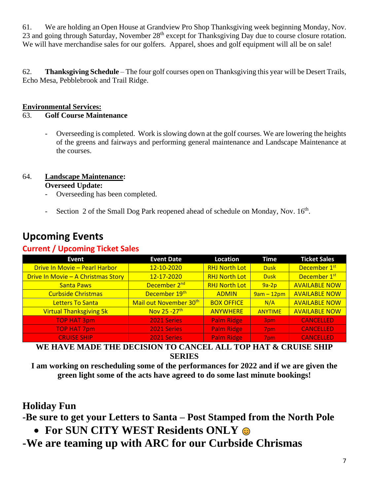61. We are holding an Open House at Grandview Pro Shop Thanksgiving week beginning Monday, Nov. 23 and going through Saturday, November 28<sup>th</sup> except for Thanksgiving Day due to course closure rotation. We will have merchandise sales for our golfers. Apparel, shoes and golf equipment will all be on sale!

62. **Thanksgiving Schedule** – The four golf courses open on Thanksgiving this year will be Desert Trails, Echo Mesa, Pebblebrook and Trail Ridge.

#### **Environmental Services:**

#### 63. **Golf Course Maintenance**

- Overseeding is completed. Work is slowing down at the golf courses. We are lowering the heights of the greens and fairways and performing general maintenance and Landscape Maintenance at the courses.

#### 64. **Landscape Maintenance:**

#### **Overseed Update:**

- Overseeding has been completed.
- Section 2 of the Small Dog Park reopened ahead of schedule on Monday, Nov. 16<sup>th</sup>.

| <b>Event</b>                       | <b>Event Date</b>         | <b>Location</b>      | <b>Time</b>    | <b>Ticket Sales</b>      |
|------------------------------------|---------------------------|----------------------|----------------|--------------------------|
| Drive In Movie - Pearl Harbor      | 12-10-2020                | <b>RHJ North Lot</b> | <b>Dusk</b>    | December 1 <sup>st</sup> |
| Drive In Movie - A Christmas Story | 12-17-2020                | <b>RHJ North Lot</b> | <b>Dusk</b>    | December 1st             |
| <b>Santa Paws</b>                  | December 2 <sup>nd</sup>  | <b>RHJ North Lot</b> | $9a-2p$        | <b>AVAILABLE NOW</b>     |
| <b>Curbside Christmas</b>          | December 19th             | <b>ADMIN</b>         | $9am - 12pm$   | <b>AVAILABLE NOW</b>     |
| <b>Letters To Santa</b>            | Mail out November 30th    | <b>BOX OFFICE</b>    | N/A            | <b>AVAILABLE NOW</b>     |
| <b>Virtual Thanksgiving 5k</b>     | Nov 25 - 27 <sup>th</sup> | <b>ANYWHERE</b>      | <b>ANYTIME</b> | <b>AVAILABLE NOW</b>     |
| <b>TOP HAT 3pm</b>                 | 2021 Series               | <b>Palm Ridge</b>    | 3pm            | <b>CANCELLED</b>         |
| <b>TOP HAT 7pm</b>                 | 2021 Series               | <b>Palm Ridge</b>    | 7pm            | <b>CANCELLED</b>         |
| <b>CRUISE SHIP</b>                 | 2021 Series               | <b>Palm Ridge</b>    | 7pm            | <b>CANCELLED</b>         |

# **Upcoming Events**

#### **Current / Upcoming Ticket Sales**

### **WE HAVE MADE THE DECISION TO CANCEL ALL TOP HAT & CRUISE SHIP SERIES**

**I am working on rescheduling some of the performances for 2022 and if we are given the green light some of the acts have agreed to do some last minute bookings!**

## **Holiday Fun**

**-Be sure to get your Letters to Santa – Post Stamped from the North Pole**

• **For SUN CITY WEST Residents ONLY** 

**-We are teaming up with ARC for our Curbside Chrismas**